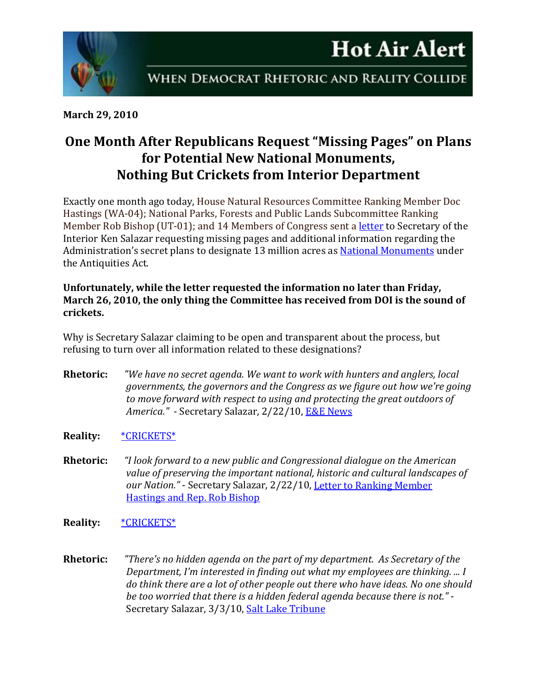



**March 29, 2010**

## **One Month After Republicans Request "Missing Pages" on Plans for Potential New National Monuments, Nothing But Crickets from Interior Department**

Exactly one month ago today, House Natural Resources Committee Ranking Member Doc Hastings (WA-04); National Parks, Forests and Public Lands Subcommittee Ranking Member Rob Bishop (UT-01); and 14 Members of Congress sent a [letter](http://republicans.resourcescommittee.house.gov/News/DocumentSingle.aspx?DocumentID=173834) to Secretary of the Interior Ken Salazar requesting missing pages and additional information regarding the Administration's secret plans to designate 13 million acres as **National Monuments** under the Antiquities Act.

## **Unfortunately, while the letter requested the information no later than Friday, March 26, 2010, the only thing the Committee has received from DOI is the sound of crickets.**

Why is Secretary Salazar claiming to be open and transparent about the process, but refusing to turn over all information related to these designations?

- **Rhetoric:** *"We have no secret agenda. We want to work with hunters and anglers, local governments, the governors and the Congress as we figure out how we're going to move forward with respect to using and protecting the great outdoors of America."* - Secretary Salazar, 2/22/10, [E&E News](http://eenews.net/eenewspm/2010/02/22/1/)
- **Reality:** [\\*CRICKETS\\*](http://www.youtube.com/watch?v=K8E_zMLCRNg)
- **Rhetoric:** *"I look forward to a new public and Congressional dialogue on the American value of preserving the important national, historic and cultural landscapes of our Nation."* - Secretary Salazar, 2/22/10, [Letter to Ranking Member](http://republicans.resourcescommittee.house.gov/UploadedFiles/Ltr_from_DOI_AntiquitiesAct_022210.pdf)  [Hastings and Rep. Rob Bishop](http://republicans.resourcescommittee.house.gov/UploadedFiles/Ltr_from_DOI_AntiquitiesAct_022210.pdf)
- **Reality:** [\\*CRICKETS\\*](http://www.youtube.com/watch?v=K8E_zMLCRNg)
- **Rhetoric:** *"There's no hidden agenda on the part of my department. As Secretary of the Department, I'm interested in finding out what my employees are thinking. ... I do think there are a lot of other people out there who have ideas. No one should be too worried that there is a hidden federal agenda because there is not."* - Secretary Salazar, 3/3/10, [Salt Lake Tribune](http://www.sltrib.com/ci_14504448)